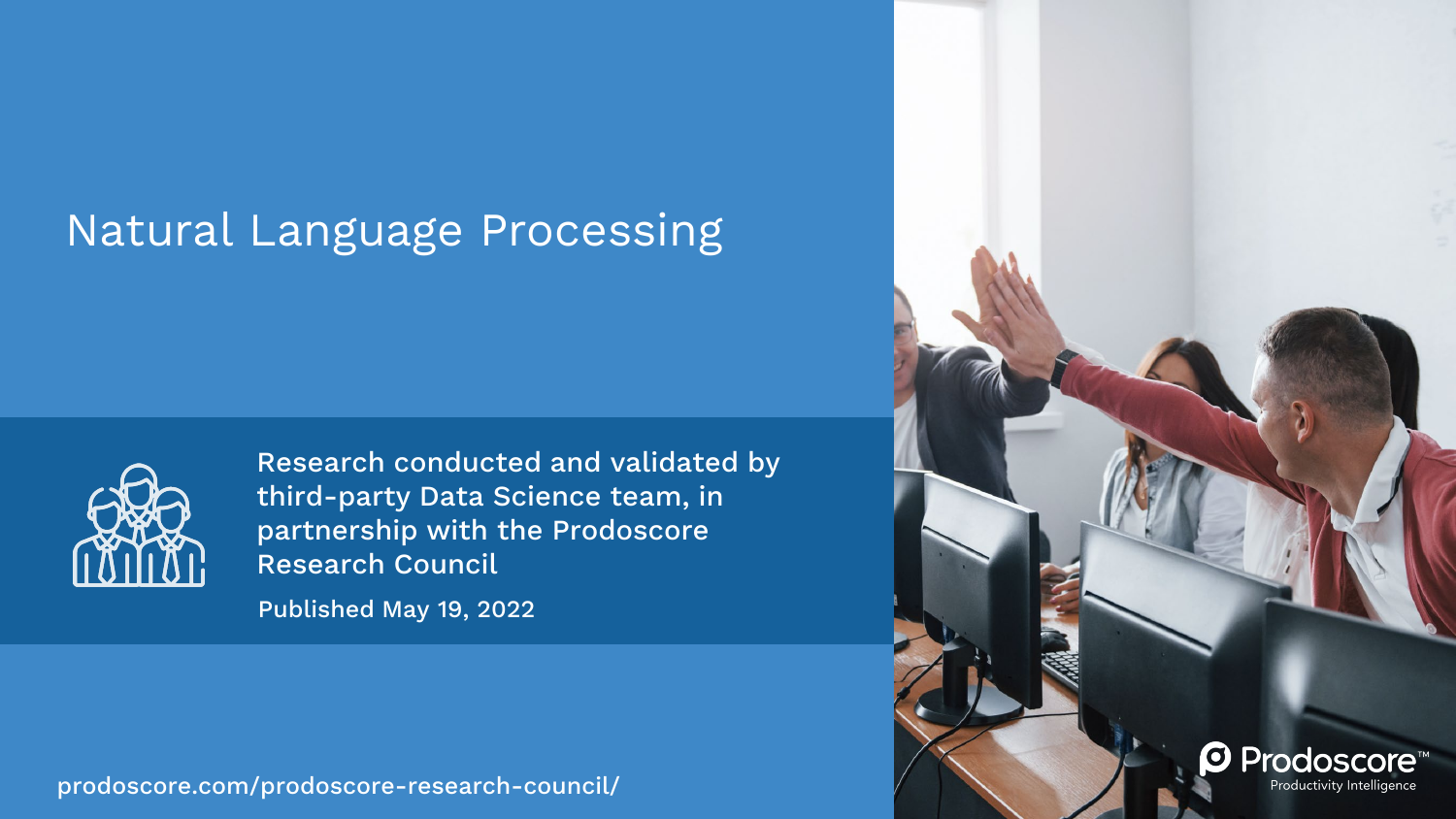#### Natural Language Processing



Research conducted and validated by third-party Data Science team, in partnership with the Prodoscore Research Council

Published May 19, 2022

[prodoscore.com/prodoscore-research-council/](https://www.prodoscore.com/prodoscore-research-council/)

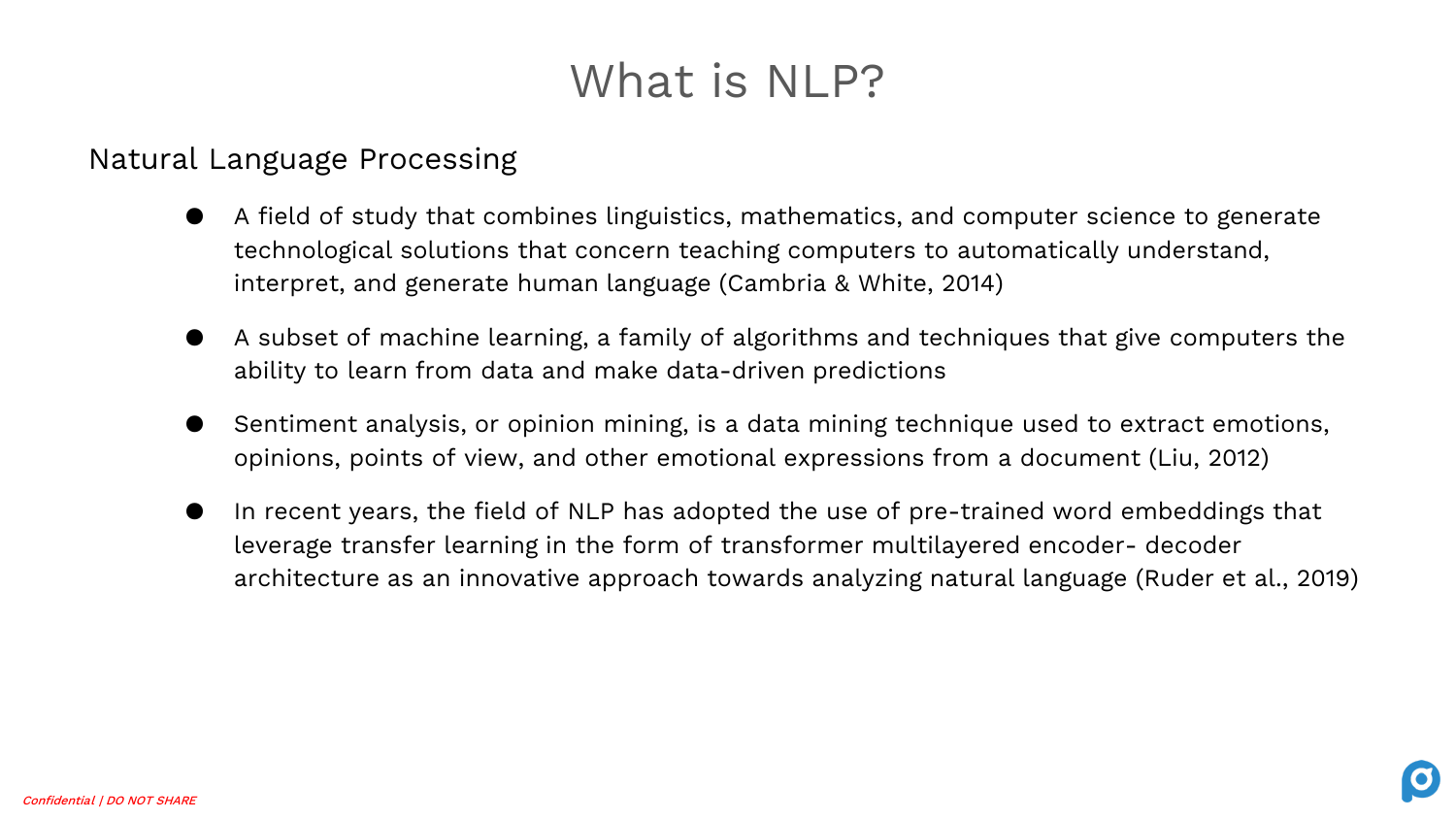# What is NLP?

#### Natural Language Processing

- A field of study that combines linguistics, mathematics, and computer science to generate technological solutions that concern teaching computers to automatically understand, interpret, and generate human language (Cambria & White, 2014)
- A subset of machine learning, a family of algorithms and techniques that give computers the ability to learn from data and make data-driven predictions
- Sentiment analysis, or opinion mining, is a data mining technique used to extract emotions, opinions, points of view, and other emotional expressions from a document (Liu, 2012)
- In recent years, the field of NLP has adopted the use of pre-trained word embeddings that leverage transfer learning in the form of transformer multilayered encoder- decoder architecture as an innovative approach towards analyzing natural language (Ruder et al., 2019)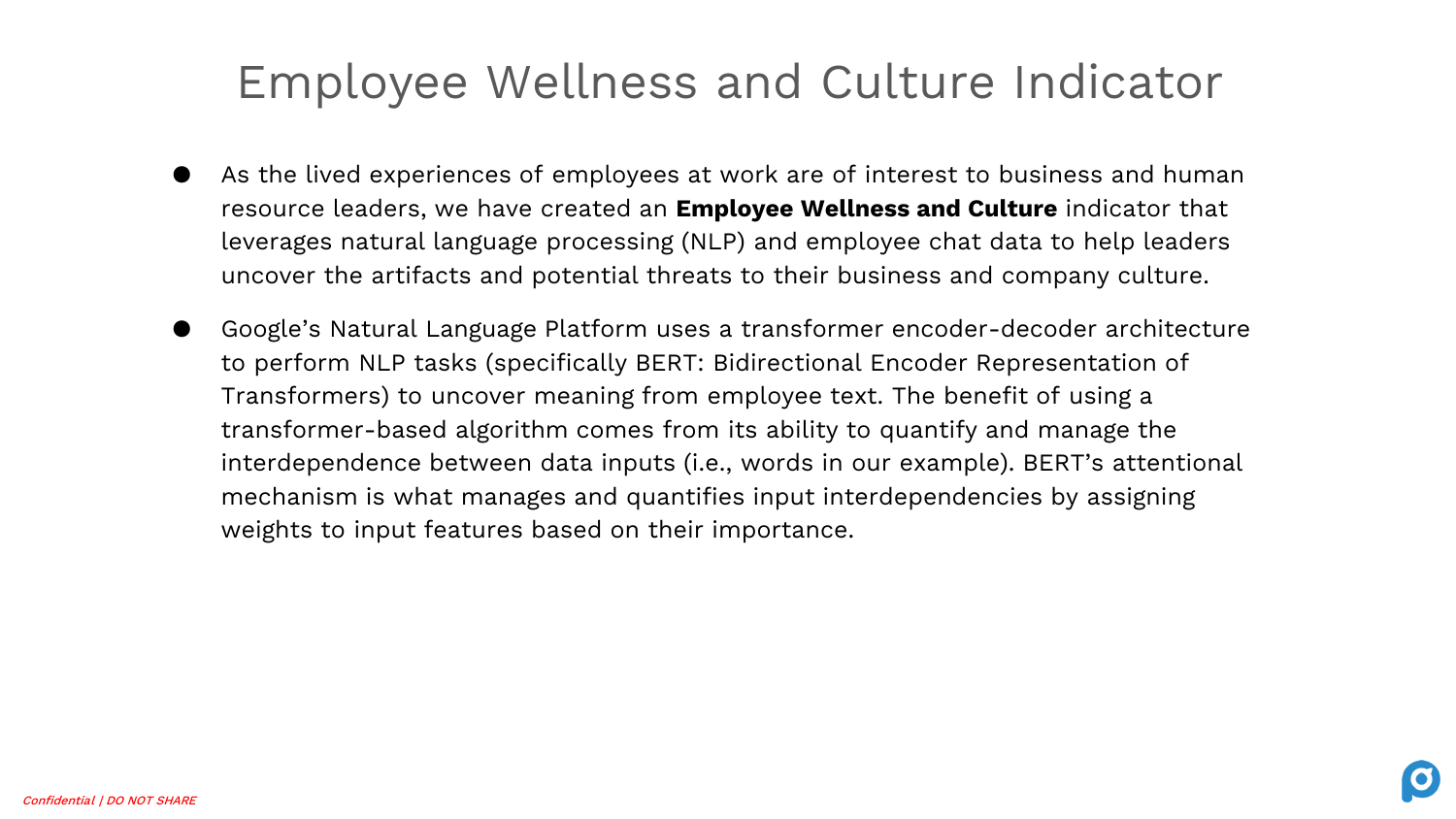# Employee Wellness and Culture Indicator

- As the lived experiences of employees at work are of interest to business and human resource leaders, we have created an **Employee Wellness and Culture** indicator that leverages natural language processing (NLP) and employee chat data to help leaders uncover the artifacts and potential threats to their business and company culture.
- Google's Natural Language Platform uses a transformer encoder-decoder architecture to perform NLP tasks (specifically BERT: Bidirectional Encoder Representation of Transformers) to uncover meaning from employee text. The benefit of using a transformer-based algorithm comes from its ability to quantify and manage the interdependence between data inputs (i.e., words in our example). BERT's attentional mechanism is what manages and quantifies input interdependencies by assigning weights to input features based on their importance.